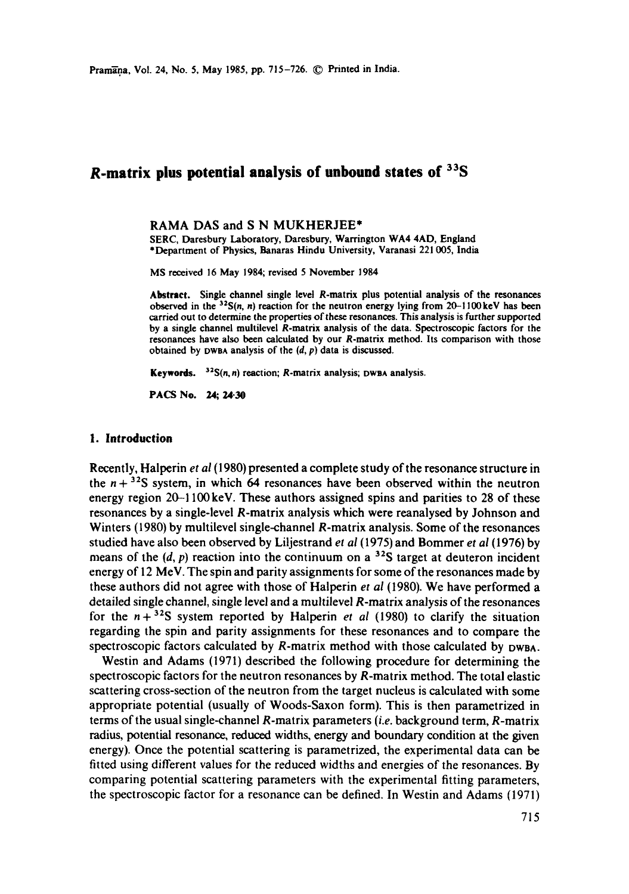# **R-matrix plus potential analysis of unbound states of 33S**

RAMA DAS and S N MUKHERJEE\*

SERC, Daresbury Laboratory, Daresbury, Warrington WA4 4AD, England \*Department of Physics, Banaras Hindu University, Varanasi 221 005, India

MS received 16 May 1984; revised 5 November 1984

**Abstract.** Single channel single level R-matrix plus potential analysis of the resonances observed in the  ${}^{32}S(n, n)$  reaction for the neutron energy lying from 20-1100 keV has been carried out to determine the properties of these resonances. This analysis is further supported by a single channel multilevel R-matrix analysis of the data. Spectroscopic factors for **the**  resonances have also been calculated by our R-matrix method. Its comparison with **those**  obtained by DWBA analysis of the  $(d, p)$  data is discussed.

Keywords.  $32S(n, n)$  reaction; R-matrix analysis; DWBA analysis.

**PACS No. 24; 24"30** 

### **1. Introduction**

Recently, Halperin *et al* (1980) presented a complete study of the resonance structure in the  $n +$ <sup>32</sup>S system, in which 64 resonances have been observed within the neutron energy region 20-1100 keV. These authors assigned spins and parities to 28 of these resonances by a single-level R-matrix analysis which were reanalysed by Johnson and Winters (1980) by multilevel single-channel R-matrix analysis. Some of the resonances studied have also been observed by Liljestrand *et al* (1975) and Bommer *et ai* (1976) by means of the  $(d, p)$  reaction into the continuum on a <sup>32</sup>S target at deuteron incident energy of 12 MeV. The spin and parity assignments for some of the resonances made by these authors did not agree with those of Halperin *et al* (1980). We have performed a detailed single channel, single level and a multilevel R-matrix analysis of the resonances for the  $n+32S$  system reported by Halperin *et al* (1980) to clarify the situation regarding the spin and parity assignments for these resonances and to compare the spectroscopic factors calculated by R-matrix method with those calculated by DWBA.

Westin and Adams (1971) described the following procedure for determining the spectroscopic factors for the neutron resonances by R-matrix method. The total elastic scattering cross-section of the neutron from the target nucleus is calculated with some appropriate potential (usually of Woods-Saxon form). This is then parametrized in terms of the usual single-channel R-matrix parameters *(i.e.* background term, R-matrix radius, potential resonance, reduced widths, energy and boundary condition at the given energy). Once the potential scattering is parametrized, the experimental data can be fitted using different values for the reduced widths and energies of the resonances. By comparing potential scattering parameters with the experimental fitting parameters, the spectroscopic factor for a resonance can be defined. In Westin and Adams (1971)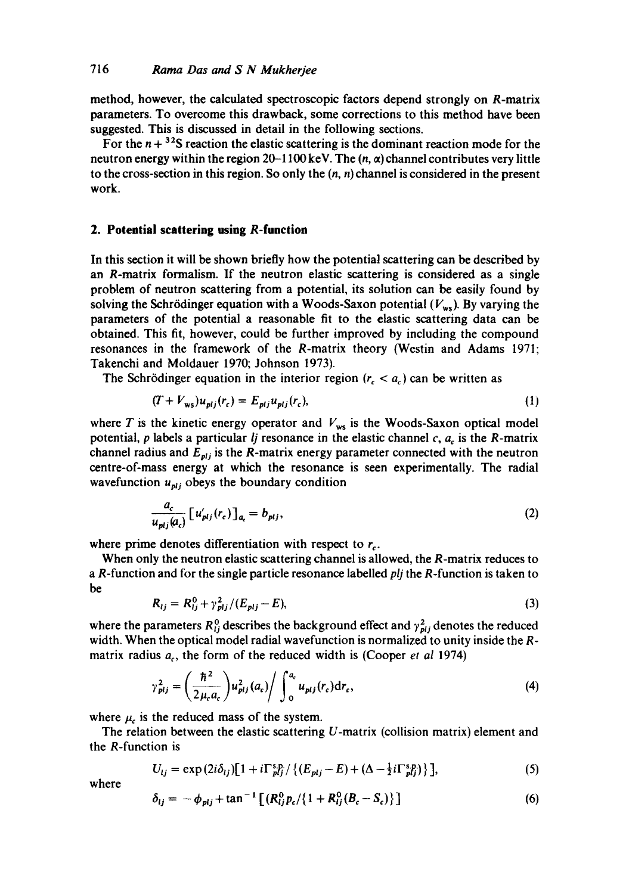method, however, the calculated spectroscopic factors depend strongly on R-matrix parameters. To overcome this drawback, some corrections to this method have been suggested. This is discussed in detail in the following sections.

For the  $n + {}^{32}S$  reaction the elastic scattering is the dominant reaction mode for the neutron energy within the region  $20-1100$  keV. The  $(n, \alpha)$  channel contributes very little to the cross-section in this region. So only the  $(n, n)$  channel is considered in the present work.

# **2. Potential scattering using R-function**

In this section it will be shown briefly how the potential scattering can be described by an R-matrix formalism. If the neutron elastic scattering is considered as a single problem of neutron scattering from a potential, its solution can be easily found by solving the Schrödinger equation with a Woods-Saxon potential  $(V_{ws})$ . By varying the parameters of the potential a reasonable fit to the elastic scattering data can be obtained. This fit, however, could be further improved by including the compound resonances in the framework of the R-matrix theory (Westin and Adams 1971; Takenchi and Moldauer 1970; Johnson 1973).

The Schrödinger equation in the interior region  $(r_c < a_c)$  can be written as

$$
(T + V_{ws})u_{plj}(r_c) = E_{plj}u_{plj}(r_c),\tag{1}
$$

where T is the kinetic energy operator and  $V_{ws}$  is the Woods-Saxon optical model potential, p labels a particular *lj* resonance in the elastic channel  $c$ ,  $a_c$  is the R-matrix channel radius and  $E_{plj}$  is the R-matrix energy parameter connected with the neutron centre-of-mass energy at which the resonance is seen experimentally. The radial wavefunction  $u_{\text{obj}}$  obeys the boundary condition

$$
\frac{a_c}{u_{plj}(a_c)} \left[ u'_{plj}(r_c) \right]_{a_c} = b_{plj},\tag{2}
$$

where prime denotes differentiation with respect to  $r_c$ .

When only the neutron elastic scattering channel is allowed, the R-matrix reduces to a R-function and for the single particle resonance labelled *plj* the R-function is taken to be

$$
R_{ij} = R_{ij}^0 + \gamma_{plj}^2 / (E_{plj} - E), \tag{3}
$$

where the parameters  $R_{ij}^0$  describes the background effect and  $\gamma_{pij}^2$  denotes the reduced width. When the optical model radial wavefunction is normalized to unity inside the Rmatrix radius  $a_c$ , the form of the reduced width is (Cooper *et al* 1974)

$$
\gamma_{plj}^2 = \left(\frac{\hbar^2}{2\mu_c a_c}\right) u_{plj}^2(a_c) / \int_0^{a_c} u_{plj}(r_c) dr_c,
$$
\n(4)

where  $\mu_c$  is the reduced mass of the system.

The relation between the elastic scattering  $U$ -matrix (collision matrix) element and the R-function is

$$
U_{ij} = \exp\left(2i\delta_{ij}\right)\left[1 + i\Gamma_{plj}^{s,p}/\left\{(E_{plj} - E) + (\Delta - \frac{1}{2}i\Gamma_{plj}^{s,p})\right\}\right],\tag{5}
$$

where

$$
\delta_{ij} = -\phi_{plj} + \tan^{-1} \left[ (R_{ij}^0 p_c / (1 + R_{ij}^0 (B_c - S_c)) \right] \tag{6}
$$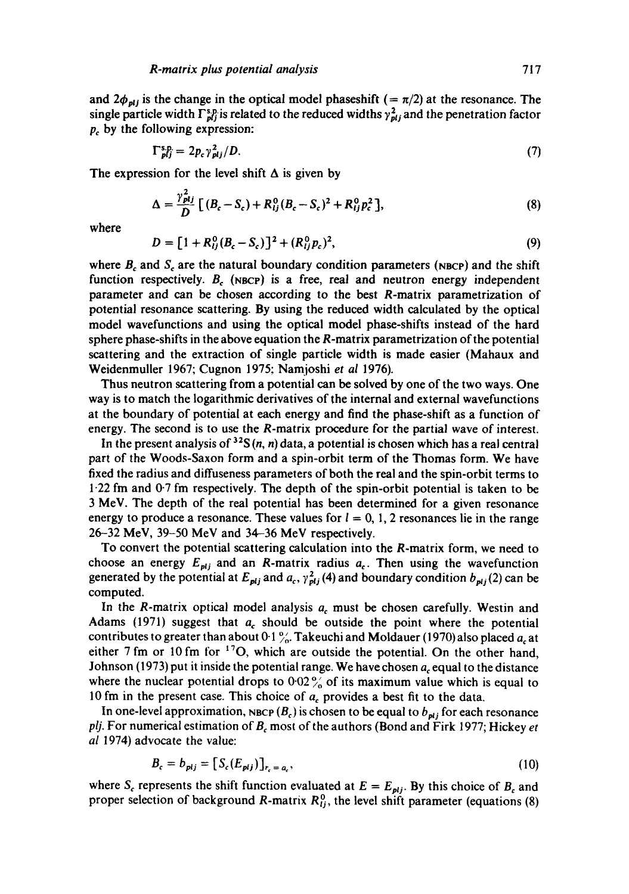and  $2\phi_{plj}$  is the change in the optical model phaseshift (=  $\pi/2$ ) at the resonance. The single particle width  $\Gamma^{s,p}_{pl}$  is related to the reduced widths  $\gamma^2_{pl}$  and the penetration factor  $p_c$  by the following expression:

$$
\Gamma_{plj}^{\rm s.p.} = 2p_c \gamma_{plj}^2/D. \tag{7}
$$

The expression for the level shift  $\Delta$  is given by

$$
\Delta = \frac{\gamma_{plj}^2}{D} \left[ (B_c - S_c) + R_{ij}^0 (B_c - S_c)^2 + R_{ij}^0 p_c^2 \right],
$$
\n(8)

where

$$
D = [1 + R_{ij}^0 (B_c - S_c)]^2 + (R_{ij}^0 p_c)^2, \tag{9}
$$

where  $B_c$  and  $S_c$  are the natural boundary condition parameters (NBCP) and the shift function respectively.  $B_c$  (NBCP) is a free, real and neutron energy independent parameter and can be chosen according to the best R-matrix parametrization of potential resonance scattering. By using the reduced width calculated by the optical model wavefunctions and using the optical model phase-shifts instead of the hard sphere phase-shifts in the above equation the *-matrix parametrization of the potential* scattering and the extraction of single particle width is made easier (Mahaux and Weidenmuller 1967; Cugnon 1975; Namjoshi *et ai* 1976).

Thus neutron scattering from a potential can be solved by one of the two ways. One way is to match the logarithmic derivatives of the internal and external wavefunctions at the boundary of potential at each energy and find the phase-shift as a function of energy. The second is to use the R-matrix procedure for the partial wave of interest.

In the present analysis of  $32S(n, n)$  data, a potential is chosen which has a real central part of the Woods-Saxon form and a spin-orbit term of the Thomas form. We have fixed the radius and diffuseness parameters of both the real and the spin-orbit terms to 1"22 fm and 0.7 fm respectively. The depth of the spin-orbit potential is taken to be 3 MeV. The depth of the real potential has been determined for a given resonance energy to produce a resonance. These values for  $l = 0, 1, 2$  resonances lie in the range 26--32 MeV, 39-50 MeV and 34-36 MeV respectively.

To convert the potential scattering calculation into the R-matrix form, we need to choose an energy  $E_{pi}$  and an R-matrix radius  $a_c$ . Then using the wavefunction generated by the potential at  $E_{plj}$  and  $a_c$ ,  $\gamma_{plj}^2$  (4) and boundary condition  $b_{plj}$  (2) can be computed.

In the R-matrix optical model analysis  $a<sub>c</sub>$  must be chosen carefully. Westin and Adams (1971) suggest that  $a_c$  should be outside the point where the potential contributes to greater than about 0-1 %. Takeuchi and Moldauer (1970) also placed  $a_c$  at either 7 fm or 10 fm for <sup>17</sup>O, which are outside the potential. On the other hand, Johnson (1973) put it inside the potential range. We have chosen  $a_c$  equal to the distance where the nuclear potential drops to  $0.02\%$  of its maximum value which is equal to 10 fm in the present case. This choice of  $a_c$  provides a best fit to the data.

In one-level approximation, NBCP  $(B_c)$  is chosen to be equal to  $b_{\text{nl}}$  for each resonance *plj.* For numerical estimation of Bc most of the authors (Bond and Firk 1977; Hickey *et al* 1974) advocate the value:

$$
B_c = b_{pij} = [S_c(E_{pij})]_{r_c = a_c},\tag{10}
$$

where  $S_c$  represents the shift function evaluated at  $E = E_{pi}$ . By this choice of  $B_c$  and proper selection of background R-matrix  $R_{ij}^0$ , the level shift parameter (equations (8)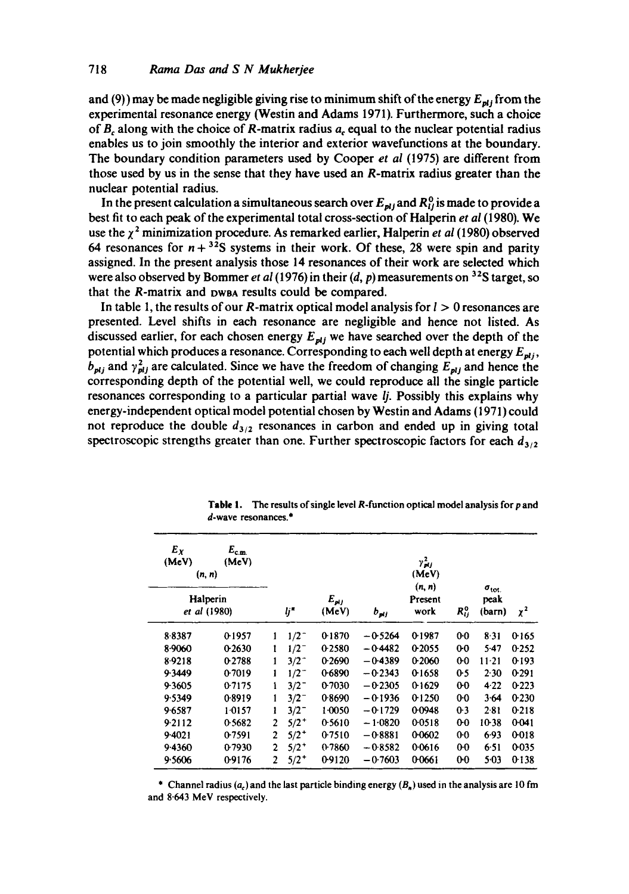and (9)) may be made negligible giving rise to minimum shift of the energy  $E_{pi}$  from the experimental resonance energy (Westin and Adams 1971). Furthermore, such a choice of  $B_c$  along with the choice of R-matrix radius  $a_c$  equal to the nuclear potential radius enables us to join smoothly the interior and exterior wavefunctions at the boundary. The boundary condition parameters used by Cooper *et al* (1975) are different from those used by us in the sense that they have used an R-matrix radius greater than the nuclear potential radius.

In the present calculation a simultaneous search over  $E_{nl}$  and  $R_{ll}^{0}$  is made to provide a best fit to each peak of the experimental total cross-section of Halperin *et al* (1980). We use the  $\chi^2$  minimization procedure. As remarked earlier, Halperin *et al* (1980) observed 64 resonances for  $n + {}^{32}S$  systems in their work. Of these, 28 were spin and parity assigned. In the present analysis those 14 resonances of their work are selected which were also observed by Bommer *et ai* (1976) in their (d, p) measurements on 32S target, so that the R-matrix and DWSA results could be compared.

In table 1, the results of our R-matrix optical model analysis for  $l > 0$  resonances are presented. Level shifts in each resonance are negligible and hence not listed. As discussed earlier, for each chosen energy  $E_{plj}$  we have searched over the depth of the potential which produces a resonance. Corresponding to each well depth at energy  $E_{pli}$ ,  $b_{pij}$  and  $\gamma_{pij}^2$  are calculated. Since we have the freedom of changing  $E_{pij}$  and hence the corresponding depth of the potential well, we could reproduce all the single particle resonances corresponding to a particular partial wave *ij.* Possibly this explains why energy-independent optical model potential chosen by Westin and Adams (1971) could not reproduce the double  $d_{3/2}$  resonances in carbon and ended up in giving total spectroscopic strengths greater than one. Further spectroscopic factors for each  $d_{3/2}$ 

| $E_X$<br>(MeV)<br>(n, n) | $E_{c.m.}$<br>(MeV) |                           |           |        |           | $\gamma_{plj}^2$<br>(MeV) |                |                                      |           |
|--------------------------|---------------------|---------------------------|-----------|--------|-----------|---------------------------|----------------|--------------------------------------|-----------|
| Halperin<br>et al (1980) |                     | $E_{\mu}$<br>ij*<br>(MeV) |           |        | $b_{\mu}$ | (n, n)<br>Present<br>work | $R_{ij}^0$     | $\sigma_{\rm tot}$<br>peak<br>(barn) | $\chi^2$  |
| 8.8387                   | 0-1957              | 1                         | $1/2^{-}$ | 0.1870 | $-0.5264$ | 0.1987                    | $0-0$          | 8.31                                 | 0.165     |
| 8.9060                   | 0.2630              | ı                         | $1/2^{-}$ | 0.2580 | $-0.4482$ | 0.2055                    | 00             | $5-47$                               | 0.252     |
| 8.9218                   | 0.2788              | 1                         | $3/2^{-}$ | 0.2690 | $-0.4389$ | 0.2060                    | $0-0$          | $11 - 21$                            | 0.193     |
| 9.3449                   | 0.7019              | 1                         | $1/2^{-}$ | 0-6890 | $-0.2343$ | 0-1658                    | 0.5            | 2.30                                 | 0.291     |
| 9.3605                   | 0.7175              | 1                         | $3/2^-$   | 0.7030 | $-0.2305$ | 0-1629                    | 00             | 4.22                                 | 0.223     |
| 9.5349                   | 0.8919              | 1                         | $3/2^-$   | 0.8690 | $-0.1936$ | 0.1250                    | 00             | 3.64                                 | 0.230     |
| 9.6587                   | 1.0157              | ı                         | $3/2^-$   | 1.0050 | $-0.1729$ | 0.0948                    | 0.3            | 2.81                                 | 0.218     |
| 9.2112                   | 0.5682              | 2                         | $5/2^{+}$ | 0.5610 | $-1.0820$ | 0.0518                    | $0-0$          | 10.38                                | $0 - 041$ |
| 9.4021                   | 0.7591              | $\overline{c}$            | $5/2^{+}$ | 0.7510 | $-0.8881$ | 0.0602                    | 00             | 6.93                                 | 0.018     |
| 9.4360                   | 0.7930              | 2                         | $5/2^{+}$ | 0.7860 | $-0.8582$ | 0.0616                    | 0 <sub>0</sub> | 6.51                                 | 0-035     |
| 9.5606                   | 0.9176              | 2                         | $5/2^+$   | 0.9120 | $-0.7603$ | 0-0661                    | 00             | 5.03                                 | 0138      |

**Table 1.** The results of single level  $R$ -function optical model analysis for  $p$  and d-wave resonances.\*

\* Channel radius  $(a_c)$  and the last particle binding energy  $(B_n)$  used in the analysis are 10 fm and 8-643 MeV respectively.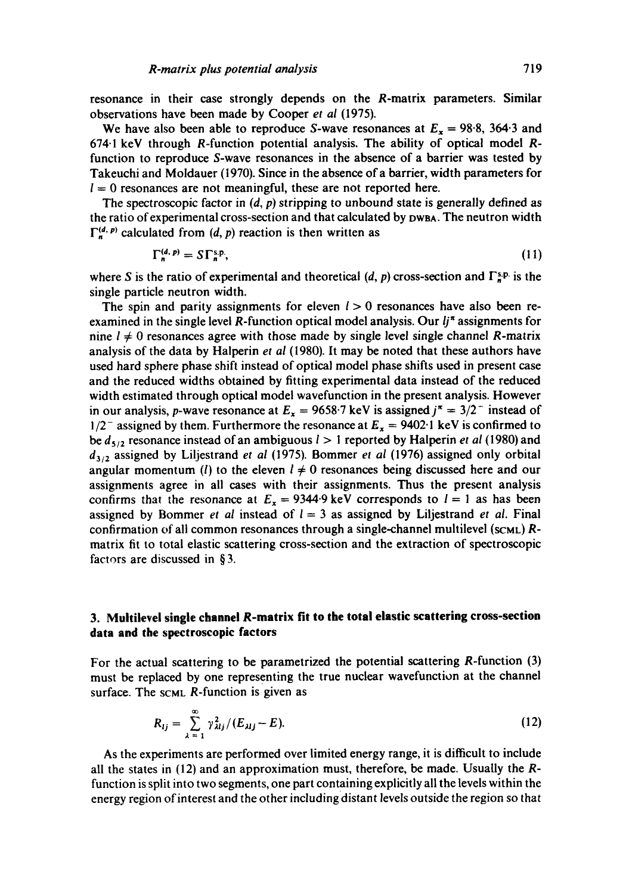resonance in their case strongly depends on the R-matrix parameters. Similar observations have been made by Cooper *et ai* (1975).

We have also been able to reproduce S-wave resonances at  $E_x = 98.8$ , 364.3 and 674.1 keV through R-function potential analysis. The ability of optical model Rfunction to reproduce S-wave resonances in the absence of a barrier was tested by Takeuchi and Moldauer (1970). Since in the absence of a barrier, width parameters for  $l = 0$  resonances are not meaningful, these are not reported here.

The spectroscopic factor in  $(d, p)$  stripping to unbound state is generally defined as the ratio of experimental cross-section and that calculated by  $D$ WBA. The neutron width  $\Gamma_{n}^{(d, p)}$  calculated from  $(d, p)$  reaction is then written as

$$
\Gamma_n^{(d,\,p)} = S\Gamma_n^{s.p},\tag{11}
$$

where S is the ratio of experimental and theoretical  $(d, p)$  cross-section and  $\Gamma_n^*P$  is the single particle neutron width.

The spin and parity assignments for eleven  $l > 0$  resonances have also been reexamined in the single level R-function optical model analysis. Our *lj ~* assignments for nine  $l \neq 0$  resonances agree with those made by single level single channel R-matrix analysis of the data by Halperin *et al* (1980). It may be noted that these authors have used hard sphere phase shift instead of optical model phase shifts used in present case and the reduced widths obtained by fitting experimental data instead of the reduced width estimated through optical model wavefunction in the present analysis. However in our analysis, p-wave resonance at  $E_x = 9658.7$  keV is assigned  $j^{\pi} = 3/2^{-}$  instead of  $1/2^-$  assigned by them. Furthermore the resonance at  $E_x = 9402$  keV is confirmed to be *ds/2* resonance instead of an ambiguous I > 1 reported by Halperin *et al* (1980) and d3/2 assigned by Liljestrand *et al* (1975). Bommer *et al* (1976) assigned only orbital angular momentum (*l*) to the eleven  $l \neq 0$  resonances being discussed here and our assignments agree in all cases with their assignments. Thus the present analysis confirms that the resonance at  $E_x = 9344.9 \text{ keV}$  corresponds to  $l = 1$  as has been assigned by Bommer *et al* instead of  $l = 3$  as assigned by Liljestrand *et al.* Final confirmation of all common resonances through a single-channel multilevel ( $s$ CML)  $R$ matrix fit to total elastic scattering cross-section and the extraction of spectroscopic factors are discussed in § 3.

# **3. Multilevel single channel R-matrix fit to the total elastic scattering cross-section data and the spectroscopic factors**

For the actual scattering to be parametrized the potential scattering R-function (3) must be replaced by one representing the true nuclear wavefunction at the channel surface. The  $s$ CML R-function is given as

$$
R_{ij} = \sum_{\lambda=1}^{\infty} \gamma_{\lambda ij}^2 / (E_{\lambda ij} - E). \tag{12}
$$

As the experiments are performed over limited energy range, it is difficult to include all the states in (12) and an approximation must, therefore, be made. Usually the Rfunction is split into two segments, one part containing explicitly all the levels within the energy region of interest and the other including distant levels outside the region so that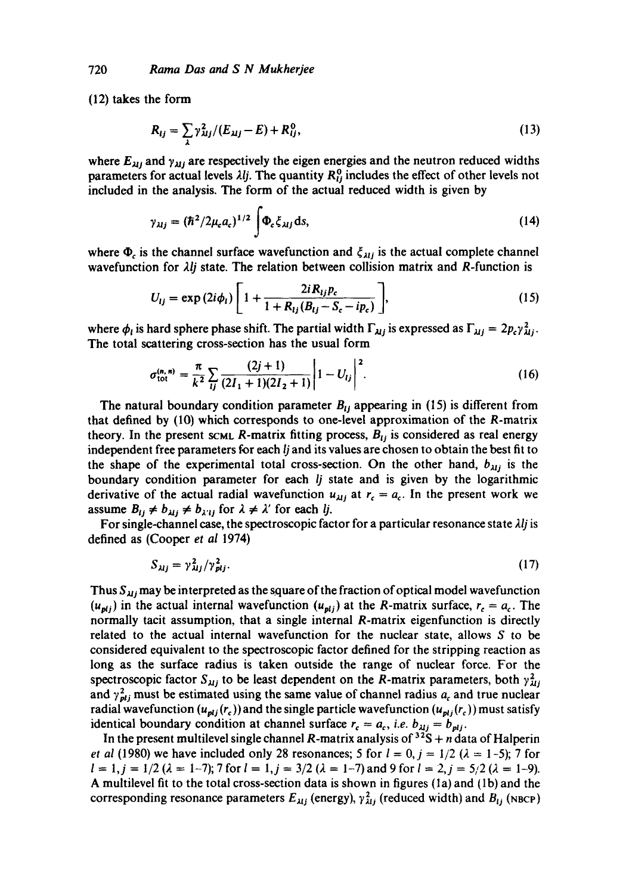(12) takes the form

$$
R_{ij} = \sum_{\lambda} \gamma_{Mj}^2 / (E_{\mu j} - E) + R_{ij}^0,
$$
 (13)

where  $E_{\lambda ij}$  and  $\gamma_{\lambda ij}$  are respectively the eigen energies and the neutron reduced widths parameters for actual levels  $\lambda l$ *j*. The quantity  $R_l^0$  includes the effect of other levels not included in the analysis. The form of the actual reduced width is given by

$$
\gamma_{\lambda l j} = (\hbar^2 / 2\mu_c a_c)^{1/2} \int \Phi_c \zeta_{\lambda l j} ds,
$$
\n(14)

where  $\Phi_c$  is the channel surface wavefunction and  $\xi_{\lambda i}$  is the actual complete channel wavefunction for *<i>lli* state. The relation between collision matrix and *R*-function is

$$
U_{ij} = \exp (2i\phi_i) \left[ 1 + \frac{2iR_{ij}p_c}{1 + R_{ij}(B_{ij} - S_c - ip_c)} \right],
$$
 (15)

where  $\phi_i$  is hard sphere phase shift. The partial width  $\Gamma_{\lambda ij}$  is expressed as  $\Gamma_{\lambda ij} = 2p_c\gamma_{\lambda ij}^2$ . The total scattering cross-section has the usual form

$$
\sigma_{\text{tot}}^{(n,\,n)} = \frac{\pi}{k^2} \sum_{ij} \frac{(2j+1)}{(2I_1+1)(2I_2+1)} \left| 1 - U_{ij} \right|^2.
$$
 (16)

The natural boundary condition parameter  $B_{ij}$  appearing in (15) is different from that defined by (10) which corresponds to one-level approximation of the R-matrix theory. In the present scmt R-matrix fitting process,  $B_{ij}$  is considered as real energy independent free parameters for each *lj* and its values are chosen to obtain the best fit to the shape of the experimental total cross-section. On the other hand,  $b_{\lambda ij}$  is the boundary condition parameter for each *lj* state and is given by the logarithmic derivative of the actual radial wavefunction  $u_{\lambda ij}$  at  $r_c = a_c$ . In the present work we assume  $B_{ij} \neq b_{\lambda'ij} \neq b_{\lambda'ij}$  for  $\lambda \neq \lambda'$  for each *lj*.

For single-channel case, the spectroscopic factor for a particular resonance state *21j* is defined as (Cooper *et al* 1974)

$$
S_{\lambda ij} = \gamma_{\lambda ij}^2 / \gamma_{\rm pl}^2. \tag{17}
$$

Thus  $S_{\lambda i}$  may be interpreted as the square of the fraction of optical model wavefunction  $(u_{\text{pl}})$  in the actual internal wavefunction  $(u_{\text{pl}})$  at the R-matrix surface,  $r_c = a_c$ . The normally tacit assumption, that a single internal R-matrix eigenfunction is directly related to the actual internal wavefunction for the nuclear state, allows S to be considered equivalent to the spectroscopic factor defined for the stripping reaction as long as the surface radius is taken outside the range of nuclear force. For the spectroscopic factor  $S_{\lambda i}$  to be least dependent on the R-matrix parameters, both  $\gamma_{\lambda i}^2$ and  $\gamma_{plj}^2$  must be estimated using the same value of channel radius  $a_c$  and true nuclear radial wavefunction  $(u_{p l j}(r_c))$  and the single particle wavefunction  $(u_{p l j}(r_c))$  must satisfy identical boundary condition at channel surface  $r_c = a_c$ , *i.e.*  $b_{\mu j} = b_{\mu j}$ .

In the present multilevel single channel R-matrix analysis of  $3^2S + n$  data of Halperin *et al* (1980) we have included only 28 resonances; 5 for  $l = 0$ ,  $j = 1/2$  ( $\lambda = 1$ -5); 7 for  $l = 1, j = 1/2$  ( $\lambda = 1$ -7); 7 for  $l = 1, j = 3/2$  ( $\lambda = 1$ -7) and 9 for  $l = 2, j = 5/2$  ( $\lambda = 1$ -9). A multilevel fit to the total cross-section data is shown in figures (la) and (lb) and the corresponding resonance parameters  $E_{\lambda ij}$  (energy),  $\gamma_{\lambda ij}^2$  (reduced width) and  $B_{ij}$  (NBCP)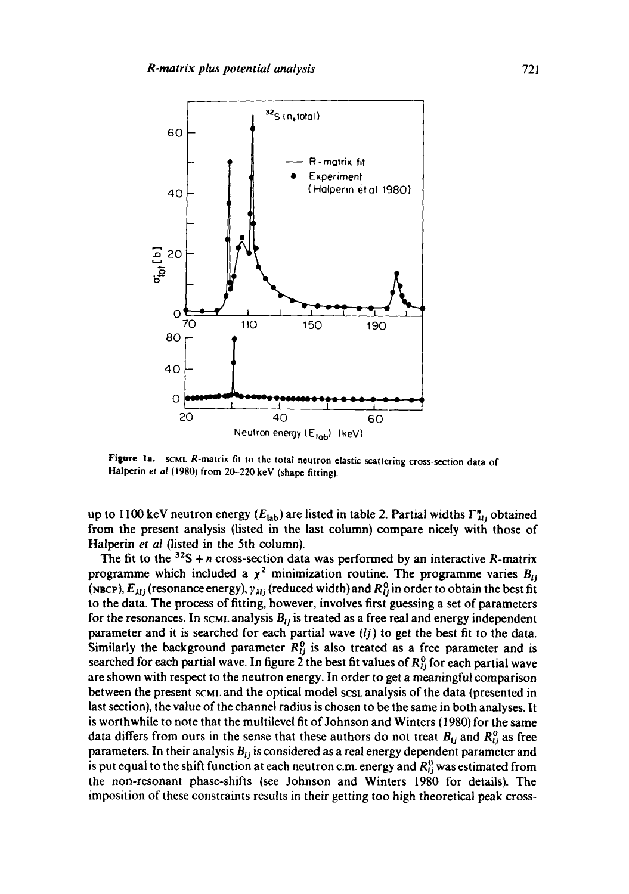

Figure 1a. SCML R-matrix fit to the total neutron elastic scattering cross-section data of Halperin et *al* (1980) from 20-220 keV (shape fitting).

up to 1100 keV neutron energy ( $E_{\text{lab}}$ ) are listed in table 2. Partial widths  $\Gamma_{\mu j}^{n}$  obtained from the present analysis (listed in the last column) compare nicely with those of Halperin *et al* (listed in the 5th column).

The fit to the  $32S + n$  cross-section data was performed by an interactive R-matrix programme which included a  $\chi^2$  minimization routine. The programme varies  $B_{1i}$ (NBCP),  $E_{\lambda ij}$  (resonance energy),  $\gamma_{\lambda ij}$  (reduced width) and  $R_{ij}^0$  in order to obtain the best fit to the data. The process of fitting, however, involves first guessing a set of parameters for the resonances. In scml analysis  $B_{ij}$  is treated as a free real and energy independent parameter and it is searched for each partial wave *(lj)* to get the best fit to the data. Similarly the background parameter  $R_{ij}^0$  is also treated as a free parameter and is searched for each partial wave. In figure 2 the best fit values of  $R_{ij}^0$  for each partial wave are shown with respect to the neutron energy. In order to get a meaningful comparison between the present SCML and the optical model SCSL analysis of the data (presented in last section), the value of the channel radius is chosen to be the same in both analyses. It is worthwhile to note that the multilevel fit of Johnson and Winters (1980) for the same data differs from ours in the sense that these authors do not treat  $B_{ij}$  and  $R_{ij}^0$  as free parameters. In their analysis  $B_{ij}$  is considered as a real energy dependent parameter and is put equal to the shift function at each neutron c.m. energy and  $R_0^0$  was estimated from the non-resonant phase-shifts (see Johnson and Winters 1980 for details). The imposition of these constraints results in their getting too high theoretical peak cross-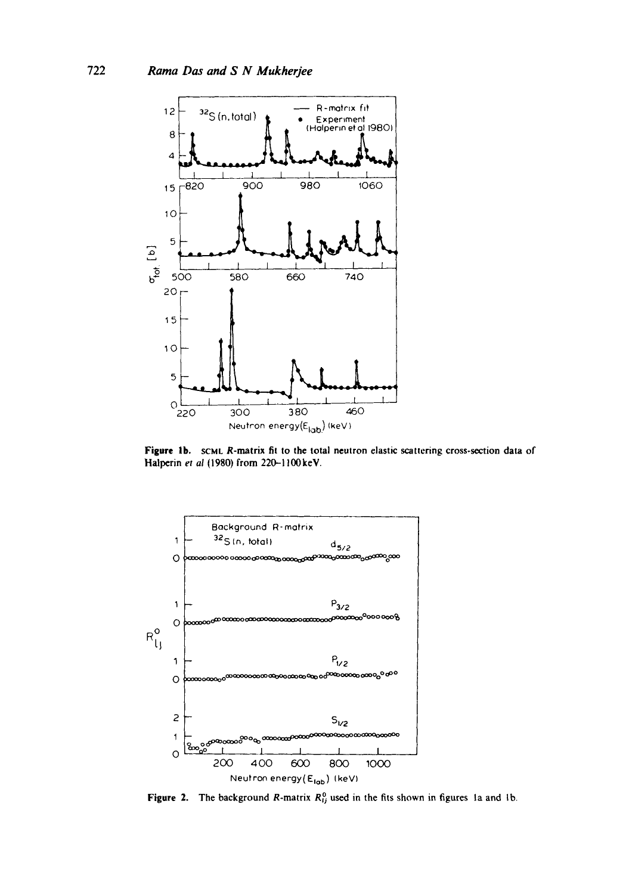

Figure 1b. scmt. R-matrix fit to the total neutron elastic scattering cross-section data of Halperin et al (1980) from 220-1100 keV.



**Figure 2.** The background R-matrix  $R_{ij}^{\mu}$  used in the fits shown in figures 1a and 1b.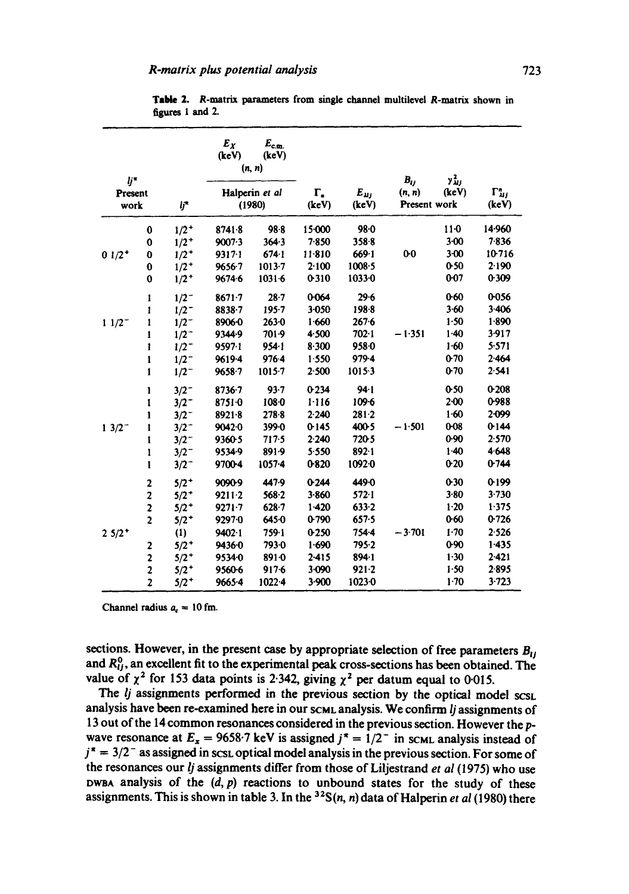|                        |                         |           | $E_X$<br>$E_{c.m.}$<br>(keV)<br>(keV)<br>(n, n) |            |             |                   |                                                 |                |               |
|------------------------|-------------------------|-----------|-------------------------------------------------|------------|-------------|-------------------|-------------------------------------------------|----------------|---------------|
| lj*<br>Present<br>work |                         | lj*       | Halperin et al<br>(1980)                        |            | г.<br>(keV) | $E_{uj}$<br>(keV) | $\boldsymbol{B}_{ij}$<br>(n, n)<br>Present work | رىد د<br>(keV) | Г'n,<br>(keV) |
|                        |                         |           |                                                 |            |             |                   |                                                 |                |               |
|                        | $\bf{0}$                | $1/2^+$   | 8741.8                                          | 98.8       | 15.000      | 98.0              |                                                 | $11-0$         | 14.960        |
|                        | $\mathbf 0$             | $1/2^+$   | 9007.3                                          | 364.3      | 7.850       | $358 - 8$         |                                                 | $3 - 00$       | 7.836         |
| $01/2^+$               | 0                       | $1/2^{+}$ | 9317.1                                          | 674.1      | 11-810      | 669.1             | $0-0$                                           | $3 - 00$       | 10.716        |
|                        | $\bf{0}$                | $1/2^{+}$ | 9656-7                                          | $1013 - 7$ | 2.100       | 1008.5            |                                                 | 0.50           | 2.190         |
|                        | $\bf{0}$                | $1/2^{+}$ | 96746                                           | 10316      | 0310        | 1033-0            |                                                 | $0 - 07$       | 0.309         |
|                        | 1                       | $1/2^{-}$ | $8671 - 7$                                      | $28 - 7$   | 0-064       | 29.6              |                                                 | 0.60           | 0056          |
|                        | 1                       | $1/2^{-}$ | 8838-7                                          | $195 - 7$  | 3-050       | 198.8             |                                                 | $3 - 60$       | 3.406         |
| $11/2^-$               | 1                       | $1/2 -$   | 8906-0                                          | $263 - 0$  | 1.660       | 2676              |                                                 | 1.50           | $1 - 890$     |
|                        | 1                       | $1/2^{-}$ | 9344.9                                          | 701.9      | 4.500       | $702 - 1$         | $-1.351$                                        | $1-40$         | 3.917         |
|                        | ı                       | $1/2^{-}$ | 9597-1                                          | $954 - 1$  | 8.300       | 9580              |                                                 | 1.60           | 5:571         |
|                        | 1                       | $1/2 -$   | 9619-4                                          | $976 - 4$  | 1.550       | 979.4             |                                                 | $0 - 70$       | 2.464         |
|                        | 1                       | $1/2^{-}$ | $9658 - 7$                                      | $1015 - 7$ | 2.500       | $1015-3$          |                                                 | $0 - 70$       | 2.541         |
|                        | 1                       | $3/2^{-}$ | 8736.7                                          | 93.7       | 0234        | $94-1$            |                                                 | $0 - 50$       | $0-208$       |
|                        | ı                       | $3/2 -$   | 8751.0                                          | $108 - 0$  | 1.116       | 109.6             |                                                 | 200            | 0-988         |
|                        | 1                       | $3/2^{-}$ | $8921 - 8$                                      | 278.8      | 2.240       | $281 - 2$         |                                                 | 1.60           | 2-099         |
| $13/2^-$               | 1                       | $3/2^{-}$ | 9042.0                                          | 399-0      | 0.145       | 400-5             | $-1.501$                                        | 0-08           | 0.144         |
|                        | 1                       | $3/2^-$   | 9360-5                                          | 717.5      | 2.240       | 720-5             |                                                 | 0.90           | 2.570         |
|                        | 1                       | $3/2 -$   | 9534.9                                          | 891.9      | 5.550       | $892 - 1$         |                                                 | $1-40$         | 4.648         |
|                        | 1                       | $3/2^-$   | 9700-4                                          | $1057 - 4$ | 0.820       | 10920             |                                                 | $0-20$         | 0-744         |
|                        | 2                       | $5/2^{+}$ | 9090-9                                          | 447.9      | 0.244       | 449.0             |                                                 | 0.30           | 0-199         |
|                        | 2                       | $5/2^{+}$ | $9211 - 2$                                      | $568 - 2$  | $3 - 860$   | $572 - 1$         |                                                 | $3 - 80$       | 3.730         |
|                        | $\overline{\mathbf{c}}$ | $5/2^+$   | $9271 - 7$                                      | $628 - 7$  | 1.420       | $633 - 2$         |                                                 | 1.20           | 1.375         |
|                        | $\overline{2}$          | $5/2^{+}$ | 9297-0                                          | 6450       | 0-790       | 657.5             |                                                 | $0 - 60$       | 0.726         |
| $2.5/2$ <sup>+</sup>   |                         | (1)       | 9402-1                                          | 759.1      | 0-250       | $754 - 4$         | $-3.701$                                        | $1-70$         | 2.526         |
|                        | 2                       | $5/2^{+}$ | 9436.0                                          | 793.0      | 1.690       | $795 - 2$         |                                                 | 0.90           | 1.435         |
|                        | $\mathbf 2$             | $5/2^{+}$ | 95340                                           | 891-0      | $2 - 415$   | $894-1$           |                                                 | 1.30           | 2.421         |
|                        | $\overline{\mathbf{c}}$ | $5/2^{+}$ | 9560-6                                          | $917-6$    | 3.090       | $921 - 2$         |                                                 | 1.50           | 2.895         |
|                        | $\overline{\mathbf{z}}$ | $5/2^{+}$ | 9665-4                                          | 1022-4     | 3.900       | 1023-0            |                                                 | $1-70$         | 3.723         |

Table 2. R-matrix parameters from single channel multilevel R-matrix shown in figures 1 and 2.

Channel radius  $a_r = 10$  fm.

sections. However, in the present case by appropriate selection of free parameters  $B_{ij}$ and  $R_{ij}^{\nu}$ , an excellent fit to the experimental peak cross-sections has been obtained. The value of  $\chi^2$  for 153 data points is 2.342, giving  $\chi^2$  per datum equal to 0.015.

The *lj* assignments performed in the previous section by the optical model scsL analysis have been re-examined here in our SCML analysis. We confirm *lj* assignments of 13 out of the 14 common resonances considered in the previous section. However the pwave resonance at  $E_x = 9658.7$  keV is assigned  $j^* = 1/2^-$  in scmL analysis instead of  $j^* = 3/2^-$  as assigned in scsL optical model analysis in the previous section. For some of the resonances our *lj* assignments differ from those of Liljestrand *et al* (1975) who use DWBA analysis of the  $(d, p)$  reactions to unbound states for the study of these assignments. This is shown in table 3. In the  $32S(n, n)$  data of Halperin *et al* (1980) there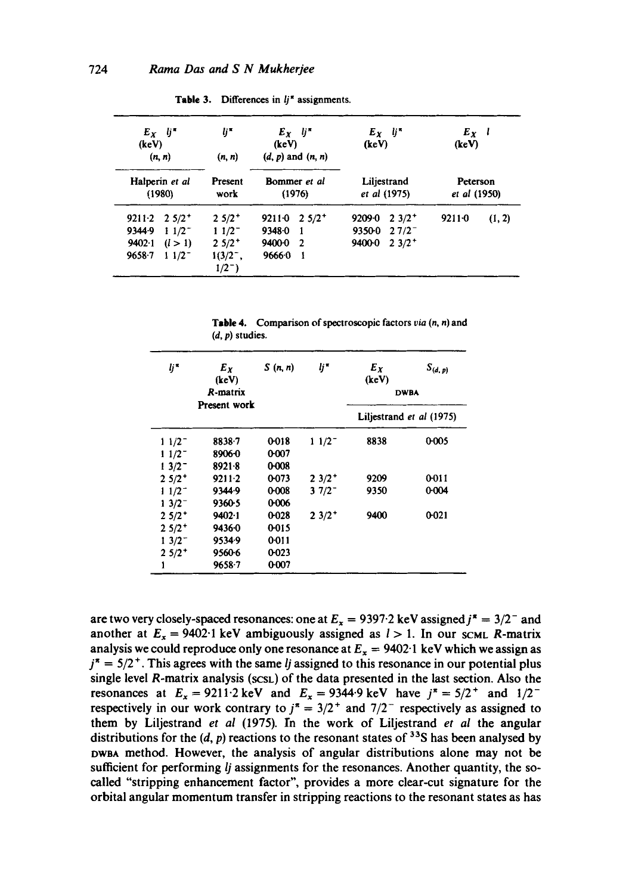| $E_X$ is<br>(keV)<br>(n, n)    | lj*<br>(n, n)           | $E_X$ if<br>(keV)<br>$(d, p)$ and $(n, n)$ | $E_X$ $ij^*$<br>(keV)         | $E_X$ l<br>(keV)<br>Peterson<br>et al (1950) |  |
|--------------------------------|-------------------------|--------------------------------------------|-------------------------------|----------------------------------------------|--|
| Halperin et al<br>(1980)       | Present<br>work         | <b>Bommer</b> et al<br>(1976)              | Liljestrand<br>et al (1975)   |                                              |  |
| $9211 - 2 \quad 2 \quad 5/2^+$ | $2.5/2^{+}$             | 9211-0 $2.5/2^+$                           | $9209.0$ 2 $3/2$ <sup>+</sup> | 92110<br>(1, 2)                              |  |
| $11/2^-$<br>9344.9             | $11/2^-$                | 9348-0<br>$\overline{1}$                   | 9350-0 $27/2^-$               |                                              |  |
| $9402 \cdot 1$<br>(l > 1)      | $25/2$ <sup>+</sup>     | 940002                                     | 94000<br>$2.3/2^{+}$          |                                              |  |
| 9658-7<br>$11/2^-$             | $1(3/2^{-})$<br>$1/2^-$ | 96660<br>- 1                               |                               |                                              |  |

Table 3. Differences in  $lj^*$  assignments.

Table 4. *Comparison of spectroscopic factors via (n, n) and*  **(d, p)** studies.

| lj*                 | Ex<br>(keV)<br>R-matrix | S(n, n) | lj™         | $E_X$<br>(keV)           | $S_{(d,p)}$<br><b>DWBA</b> |  |
|---------------------|-------------------------|---------|-------------|--------------------------|----------------------------|--|
|                     | Present work            |         |             | Liljestrand et al (1975) |                            |  |
| $11/2^-$            | 8838-7                  | 0018    | $11/2^-$    | 8838                     | 0.005                      |  |
| $11/2^-$            | 8906-0                  | 0-007   |             |                          |                            |  |
| $13/2^-$            | $8921 - 8$              | 0-008   |             |                          |                            |  |
| $25/2$ <sup>+</sup> | 9211.2                  | 0-073   | $2.3/2^{+}$ | 9209                     | 0-011                      |  |
| $11/2^-$            | 9344.9                  | 0.008   | $37/2^-$    | 9350                     | 0.004                      |  |
| $13/2^-$            | 9360-5                  | 0-006   |             |                          |                            |  |
| $25/2$ <sup>+</sup> | 9402.1                  | 0028    | $23/2^+$    | 9400                     | 0-021                      |  |
| $25/2$ <sup>+</sup> | 94360                   | 0015    |             |                          |                            |  |
| $13/2^-$            | 9534.9                  | 0011    |             |                          |                            |  |
| $25/2$ <sup>+</sup> | 9560-6                  | 0.023   |             |                          |                            |  |
| 1                   | $9658 - 7$              | 0-007   |             |                          |                            |  |

are two very closely-spaced resonances: one at  $E_x = 9397.2$  keV assigned  $j^* = 3/2^-$  and another at  $E_x = 9402.1 \text{ keV}$  ambiguously assigned as  $l > 1$ . In our scmL R-matrix analysis we could reproduce only one resonance at  $E_x = 9402$  l keV which we assign as  $j^* = 5/2^+$ . This agrees with the same *lj* assigned to this resonance in our potential plus single level R-matrix analysis (SCSL) of the data presented in the last section. Also the resonances at  $E_x = 9211.2 \text{ keV}$  and  $E_x = 9344.9 \text{ keV}$  have  $j^x = 5/2^+$  and  $1/2^$ respectively in our work contrary to  $j^* = 3/2^+$  and  $7/2^-$  respectively as assigned to them by Liljestrand *et al* (1975). In the work of Liljestrand *et al* the angular distributions for the  $(d, p)$  reactions to the resonant states of <sup>33</sup>S has been analysed by DWnA method. However, the analysis of angular distributions alone may not be sufficient for performing *lj* assignments for the resonances. Another quantity, the socalled "stripping enhancement factor", provides a more clear-cut signature for the orbital angular momentum transfer in stripping reactions to the resonant states as has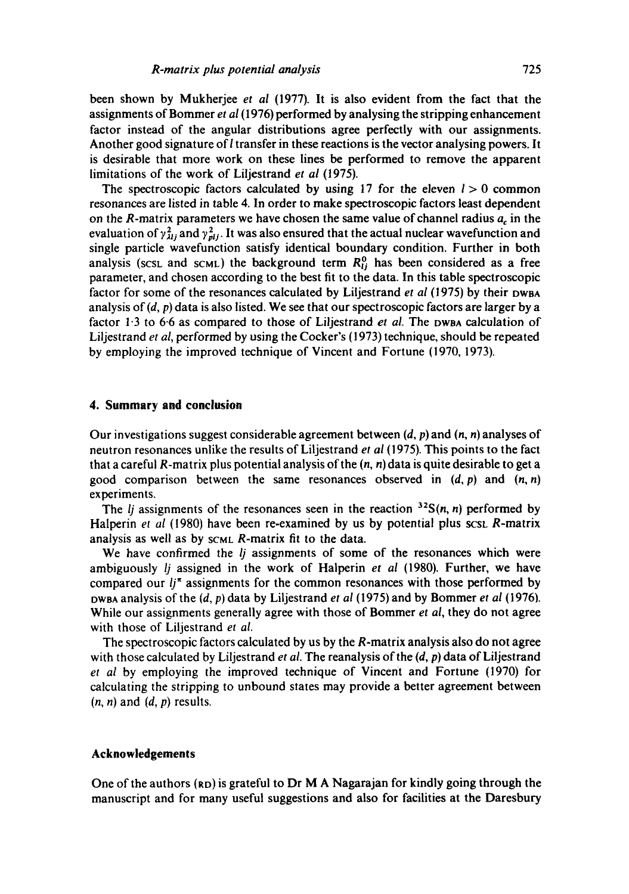been shown by Mukherjee *et al* (1977). It is also evident from the fact that the assignments of Bommer *et al* (1976) performed by analysing the stripping enhancement factor instead of the angular distributions agree perfectly with our assignments. Another good signature of I transfer in these reactions is the vector analysing powers. It is desirable that more work on these lines be performed to remove the apparent limitations of the work of Liljestrand *et al* (1975).

The spectroscopic factors calculated by using 17 for the eleven  $l > 0$  common resonances are listed in table 4. In order to make spectroscopic factors least dependent on the R-matrix parameters we have chosen the same value of channel radius  $a<sub>c</sub>$  in the evaluation of  $\gamma_{1}^2$  and  $\gamma_{pij}^2$ . It was also ensured that the actual nuclear wavefunction and single particle wavefunction satisfy identical boundary condition. Further in both analysis (SCSL and SCML) the background term  $R_{ij}^0$  has been considered as a free parameter, and chosen according to the best fit to the data. In this table spectroscopic factor for some of the resonances calculated by Liljestrand *et al* (1975) by their DWBA analysis of  $(d, p)$  data is also listed. We see that our spectroscopic factors are larger by a factor 1.3 to 6.6 as compared to those of Liljestrand *et al.* The DWBA calculation of Liljestrand *et al,* performed by using the Cocker's (1973) technique, should be repeated by employing the improved technique of Vincent and Fortune (1970, 1973).

#### **4. Summary and conclusion**

Our investigations suggest considerable agreement between  $(d, p)$  and  $(n, n)$  analyses of neutron resonances unlike the results of Liljestrand *et al* (1975). This points to the fact that a careful R-matrix plus potential analysis of the  $(n, n)$  data is quite desirable to get a good comparison between the same resonances observed in  $(d, p)$  and  $(n, n)$ experiments.

The *lj* assignments of the resonances seen in the reaction  $32S(n, n)$  performed by Halperin *et al* (1980) have been re-examined by us by potential plus scst. R-matrix analysis as well as by SCML R-matrix fit to the data.

We have confirmed the *lj* assignments of some of the resonances which were ambiguously *lj* assigned in the work of Halperin *et al* (1980). Further, we have compared our  $l_j^*$  assignments for the common resonances with those performed by OWBA analysis of the (d, p) data by Liljestrand *et al* (1975) and by Bommer *et al* (1976). While our assignments generally agree with those of Bommer *et ai,* they do not agree with those of Liljestrand *et al.* 

The spectroscopic factors calculated by us by the R-matrix analysis also do not agree with those calculated by Liljestrand *et al*. The reanalysis of the (*d*, *p*) data of Liljestrand *et al* by employing the improved technique of Vincent and Fortune (1970) for calculating the stripping to unbound states may provide a better agreement between  $(n, n)$  and  $(d, p)$  results.

## **Acknowledgements**

One of the authors  $(p<sub>D</sub>)$  is grateful to Dr M A Nagarajan for kindly going through the manuscript and for many useful suggestions and also for facilities at the Daresbury